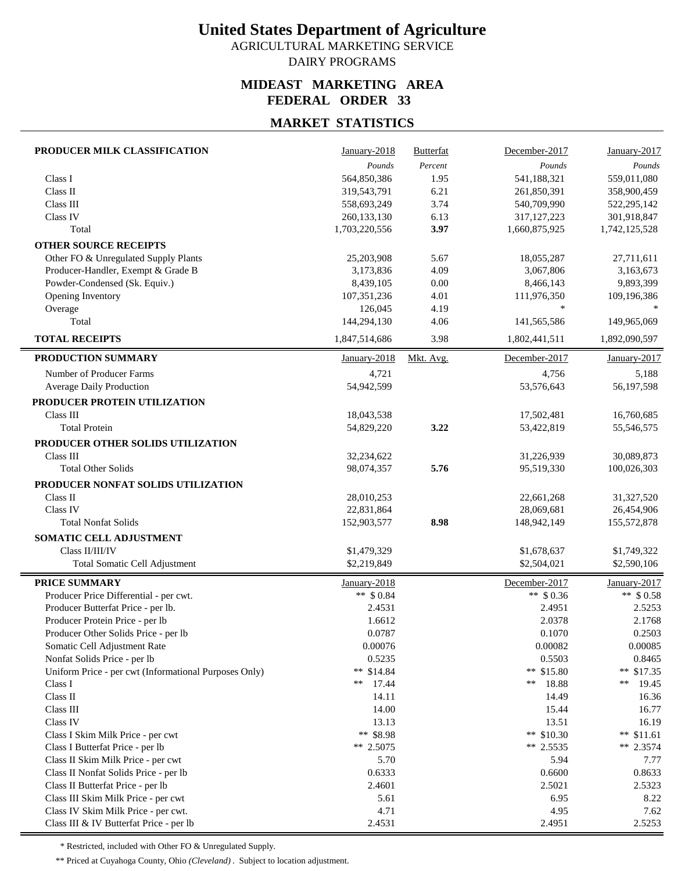AGRICULTURAL MARKETING SERVICE DAIRY PROGRAMS

### **MIDEAST MARKETING AREA FEDERAL ORDER 33**

## **MARKET STATISTICS**

| PRODUCER MILK CLASSIFICATION                                               | January-2018           | Butterfat | December-2017           | January-2017             |
|----------------------------------------------------------------------------|------------------------|-----------|-------------------------|--------------------------|
|                                                                            | Pounds                 | Percent   | Pounds                  | Pounds                   |
| Class I                                                                    | 564,850,386            | 1.95      | 541,188,321             | 559,011,080              |
| Class II                                                                   | 319,543,791            | 6.21      | 261,850,391             | 358,900,459              |
| Class III                                                                  | 558,693,249            | 3.74      | 540,709,990             | 522,295,142              |
| Class IV                                                                   | 260,133,130            | 6.13      | 317, 127, 223           | 301,918,847              |
| Total                                                                      | 1,703,220,556          | 3.97      | 1,660,875,925           | 1,742,125,528            |
| <b>OTHER SOURCE RECEIPTS</b>                                               |                        |           |                         |                          |
| Other FO & Unregulated Supply Plants                                       | 25,203,908             | 5.67      | 18,055,287              | 27,711,611               |
| Producer-Handler, Exempt & Grade B                                         | 3,173,836              | 4.09      | 3,067,806               | 3,163,673                |
| Powder-Condensed (Sk. Equiv.)                                              | 8,439,105              | 0.00      | 8,466,143               | 9,893,399                |
| Opening Inventory                                                          | 107,351,236            | 4.01      | 111,976,350             | 109,196,386              |
| Overage                                                                    | 126,045                | 4.19      | $\ast$                  |                          |
| Total                                                                      | 144,294,130            | 4.06      | 141,565,586             | 149,965,069              |
| <b>TOTAL RECEIPTS</b>                                                      | 1,847,514,686          | 3.98      | 1,802,441,511           | 1,892,090,597            |
| PRODUCTION SUMMARY                                                         | January-2018           | Mkt. Avg. | December-2017           | January-2017             |
| Number of Producer Farms                                                   | 4,721                  |           | 4,756                   | 5,188                    |
| Average Daily Production                                                   | 54,942,599             |           | 53,576,643              | 56,197,598               |
| PRODUCER PROTEIN UTILIZATION                                               |                        |           |                         |                          |
| Class III                                                                  | 18,043,538             |           | 17,502,481              | 16,760,685               |
| <b>Total Protein</b>                                                       | 54,829,220             | 3.22      | 53,422,819              | 55,546,575               |
| PRODUCER OTHER SOLIDS UTILIZATION                                          |                        |           |                         |                          |
| Class III                                                                  | 32,234,622             |           | 31,226,939              | 30,089,873               |
| <b>Total Other Solids</b>                                                  | 98,074,357             | 5.76      | 95,519,330              | 100,026,303              |
| PRODUCER NONFAT SOLIDS UTILIZATION                                         |                        |           |                         |                          |
| Class II                                                                   | 28,010,253             |           | 22,661,268              | 31,327,520               |
| Class IV                                                                   | 22,831,864             |           | 28,069,681              | 26,454,906               |
| <b>Total Nonfat Solids</b>                                                 | 152,903,577            | 8.98      | 148,942,149             | 155,572,878              |
| SOMATIC CELL ADJUSTMENT                                                    |                        |           |                         |                          |
| Class II/III/IV                                                            | \$1,479,329            |           | \$1,678,637             | \$1,749,322              |
| Total Somatic Cell Adjustment                                              | \$2,219,849            |           | \$2,504,021             | \$2,590,106              |
|                                                                            |                        |           |                         |                          |
| PRICE SUMMARY                                                              | January-2018           |           | December-2017           | January-2017             |
| Producer Price Differential - per cwt.                                     | ** $$0.84$             |           | ** $$0.36$              | ** $$0.58$               |
| Producer Butterfat Price - per lb.                                         | 2.4531                 |           | 2.4951                  | 2.5253                   |
| Producer Protein Price - per lb                                            | 1.6612                 |           | 2.0378                  | 2.1768                   |
| Producer Other Solids Price - per lb                                       | 0.0787                 |           | 0.1070                  | 0.2503                   |
| Somatic Cell Adjustment Rate                                               | 0.00076                |           | 0.00082                 | 0.00085                  |
| Nonfat Solids Price - per lb                                               | 0.5235                 |           | 0.5503                  | 0.8465                   |
| Uniform Price - per cwt (Informational Purposes Only)                      | ** \$14.84             |           | ** \$15.80              | ** $$17.35$              |
| Class I                                                                    | 17.44<br>**            |           | 18.88<br>**             | $**$<br>19.45            |
| Class II                                                                   | 14.11                  |           | 14.49                   | 16.36                    |
| Class III                                                                  | 14.00                  |           | 15.44                   | 16.77                    |
| Class IV                                                                   | 13.13                  |           | 13.51                   | 16.19                    |
| Class I Skim Milk Price - per cwt<br>Class I Butterfat Price - per lb      | ** \$8.98<br>** 2.5075 |           | ** \$10.30<br>** 2.5535 | ** $$11.61$<br>** 2.3574 |
|                                                                            |                        |           |                         |                          |
| Class II Skim Milk Price - per cwt                                         | 5.70<br>0.6333         |           | 5.94<br>0.6600          | 7.77<br>0.8633           |
| Class II Nonfat Solids Price - per lb<br>Class II Butterfat Price - per lb | 2.4601                 |           | 2.5021                  | 2.5323                   |
| Class III Skim Milk Price - per cwt                                        | 5.61                   |           | 6.95                    | 8.22                     |
| Class IV Skim Milk Price - per cwt.                                        | 4.71                   |           | 4.95                    | 7.62                     |
| Class III & IV Butterfat Price - per lb                                    | 2.4531                 |           | 2.4951                  | 2.5253                   |
|                                                                            |                        |           |                         |                          |

\* Restricted, included with Other FO & Unregulated Supply.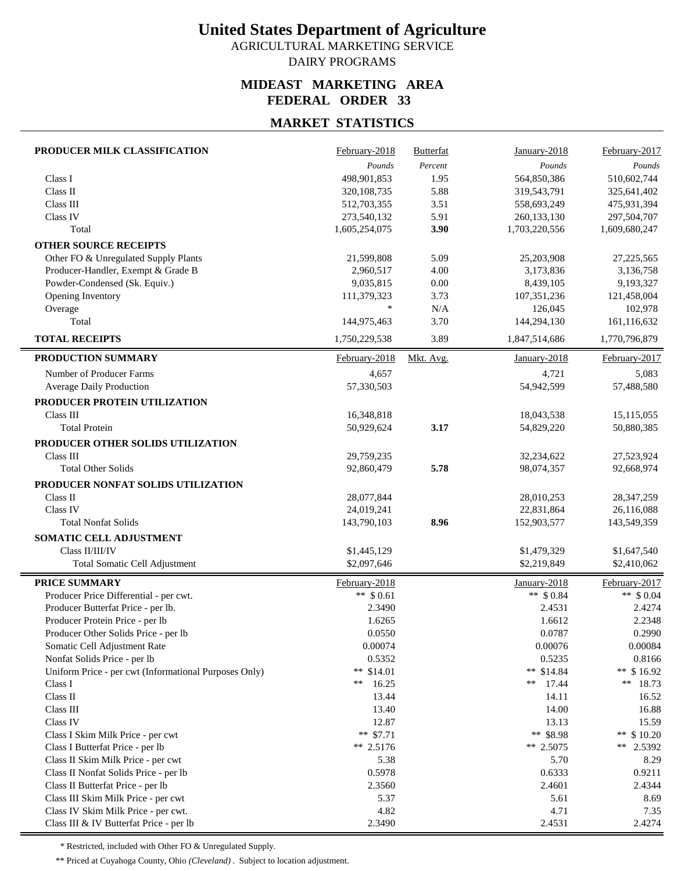AGRICULTURAL MARKETING SERVICE DAIRY PROGRAMS

### **MIDEAST MARKETING AREA FEDERAL ORDER 33**

## **MARKET STATISTICS**

| PRODUCER MILK CLASSIFICATION                          | February-2018            | <b>Butterfat</b> | $January-2018$           | February-2017            |
|-------------------------------------------------------|--------------------------|------------------|--------------------------|--------------------------|
|                                                       | Pounds                   | Percent          | Pounds                   | Pounds                   |
| Class I                                               | 498,901,853              | 1.95             | 564,850,386              | 510,602,744              |
| Class II                                              | 320,108,735              | 5.88             | 319,543,791              | 325,641,402              |
| Class III                                             | 512,703,355              | 3.51             | 558,693,249              | 475,931,394              |
| Class IV                                              | 273,540,132              | 5.91             | 260,133,130              | 297,504,707              |
| Total                                                 | 1,605,254,075            | 3.90             | 1,703,220,556            | 1,609,680,247            |
| <b>OTHER SOURCE RECEIPTS</b>                          |                          |                  |                          |                          |
| Other FO & Unregulated Supply Plants                  | 21,599,808               | 5.09             | 25,203,908               | 27,225,565               |
| Producer-Handler, Exempt & Grade B                    | 2,960,517                | 4.00             | 3,173,836                | 3,136,758                |
| Powder-Condensed (Sk. Equiv.)                         | 9,035,815                | 0.00             | 8,439,105                | 9,193,327                |
| Opening Inventory                                     | 111,379,323              | 3.73             | 107, 351, 236            | 121,458,004              |
| Overage                                               | $\ast$                   | N/A              | 126,045                  | 102,978                  |
| Total                                                 | 144,975,463              | 3.70             | 144,294,130              | 161,116,632              |
| <b>TOTAL RECEIPTS</b>                                 | 1,750,229,538            | 3.89             | 1,847,514,686            | 1,770,796,879            |
| PRODUCTION SUMMARY                                    | February-2018            | Mkt. Avg.        | January-2018             | February-2017            |
| Number of Producer Farms                              | 4,657                    |                  | 4,721                    | 5,083                    |
| <b>Average Daily Production</b>                       | 57,330,503               |                  | 54,942,599               | 57,488,580               |
| PRODUCER PROTEIN UTILIZATION                          |                          |                  |                          |                          |
| Class III                                             | 16,348,818               |                  | 18,043,538               | 15,115,055               |
| <b>Total Protein</b>                                  | 50,929,624               | 3.17             | 54,829,220               | 50,880,385               |
| PRODUCER OTHER SOLIDS UTILIZATION                     |                          |                  |                          |                          |
| Class III                                             |                          |                  |                          |                          |
| <b>Total Other Solids</b>                             | 29,759,235<br>92,860,479 | 5.78             | 32,234,622<br>98,074,357 | 27,523,924<br>92,668,974 |
|                                                       |                          |                  |                          |                          |
| PRODUCER NONFAT SOLIDS UTILIZATION                    |                          |                  |                          |                          |
| Class II                                              | 28,077,844               |                  | 28,010,253               | 28, 347, 259             |
| Class IV                                              | 24,019,241               |                  | 22,831,864               | 26,116,088               |
| <b>Total Nonfat Solids</b>                            | 143,790,103              | 8.96             | 152,903,577              | 143,549,359              |
| SOMATIC CELL ADJUSTMENT                               |                          |                  |                          |                          |
| Class II/III/IV                                       | \$1,445,129              |                  | \$1,479,329              | \$1,647,540              |
| Total Somatic Cell Adjustment                         | \$2,097,646              |                  | \$2,219,849              | \$2,410,062              |
| <b>PRICE SUMMARY</b>                                  | February-2018            |                  | January-2018             | February-2017            |
| Producer Price Differential - per cwt.                | ** $$0.61$               |                  | ** $$0.84$               | ** $$0.04$               |
| Producer Butterfat Price - per lb.                    | 2.3490                   |                  | 2.4531                   | 2.4274                   |
| Producer Protein Price - per lb                       | 1.6265                   |                  | 1.6612                   | 2.2348                   |
| Producer Other Solids Price - per lb                  | 0.0550                   |                  | 0.0787                   | 0.2990                   |
| Somatic Cell Adjustment Rate                          | 0.00074                  |                  | 0.00076                  | 0.00084                  |
| Nonfat Solids Price - per lb                          | 0.5352                   |                  | 0.5235                   | 0.8166                   |
| Uniform Price - per cwt (Informational Purposes Only) | ** $$14.01$              |                  | ** \$14.84               | ** \$16.92               |
| Class I                                               | 16.25<br>**              |                  | 17.44<br>**              | ** $18.73$               |
| Class II                                              | 13.44                    |                  | 14.11                    | 16.52                    |
| Class III                                             | 13.40                    |                  | 14.00                    | 16.88                    |
| Class IV                                              | 12.87                    |                  | 13.13                    | 15.59                    |
| Class I Skim Milk Price - per cwt                     | $**$ \$7.71              |                  | ** \$8.98                | ** $$10.20$              |
| Class I Butterfat Price - per lb                      | ** 2.5176                |                  | ** 2.5075                | $**$<br>2.5392           |
| Class II Skim Milk Price - per cwt                    | 5.38                     |                  | 5.70                     | 8.29                     |
| Class II Nonfat Solids Price - per lb                 | 0.5978                   |                  | 0.6333                   | 0.9211                   |
| Class II Butterfat Price - per lb                     | 2.3560                   |                  | 2.4601                   | 2.4344                   |
| Class III Skim Milk Price - per cwt                   | 5.37                     |                  | 5.61                     | 8.69                     |
| Class IV Skim Milk Price - per cwt.                   | 4.82                     |                  | 4.71                     | 7.35                     |
| Class III & IV Butterfat Price - per lb               | 2.3490                   |                  | 2.4531                   | 2.4274                   |

\* Restricted, included with Other FO & Unregulated Supply.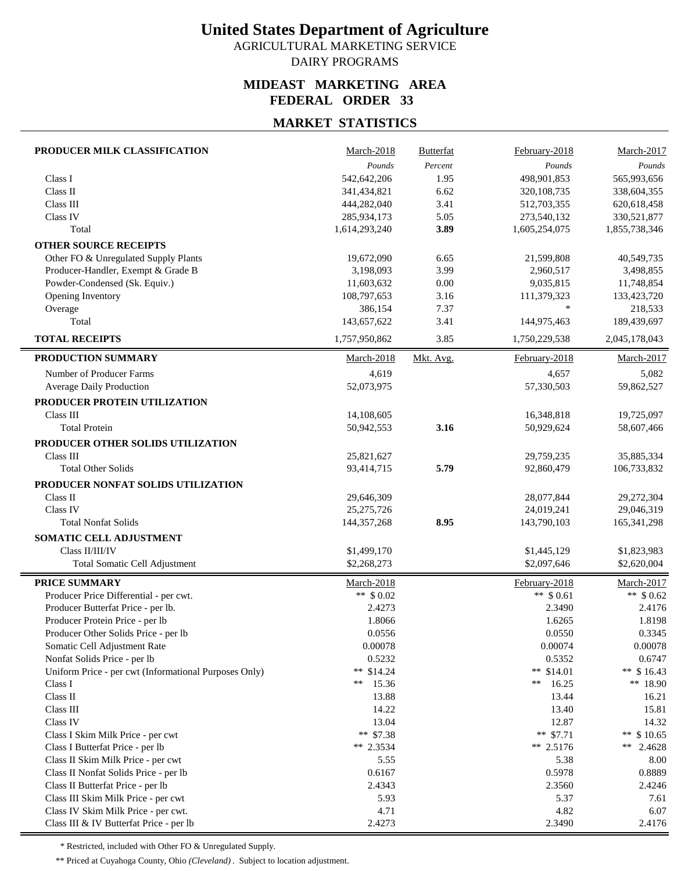AGRICULTURAL MARKETING SERVICE

### DAIRY PROGRAMS

### **MIDEAST MARKETING AREA FEDERAL ORDER 33**

## **MARKET STATISTICS**

| PRODUCER MILK CLASSIFICATION                                               | March-2018                 | <b>Butterfat</b> | February-2018              | March-2017                  |
|----------------------------------------------------------------------------|----------------------------|------------------|----------------------------|-----------------------------|
|                                                                            | Pounds                     | Percent          | Pounds                     | $\mathit{Pounds}$           |
| Class I                                                                    | 542,642,206                | 1.95             | 498,901,853                | 565,993,656                 |
| Class II                                                                   | 341,434,821                | 6.62             | 320, 108, 735              | 338,604,355                 |
| Class III                                                                  | 444,282,040                | 3.41             | 512,703,355                | 620,618,458                 |
| Class IV                                                                   | 285,934,173                | 5.05             | 273,540,132                | 330,521,877                 |
| Total                                                                      | 1,614,293,240              | 3.89             | 1,605,254,075              | 1,855,738,346               |
| <b>OTHER SOURCE RECEIPTS</b>                                               |                            |                  |                            |                             |
| Other FO & Unregulated Supply Plants                                       | 19,672,090                 | 6.65             | 21,599,808                 | 40,549,735                  |
| Producer-Handler, Exempt & Grade B                                         | 3,198,093                  | 3.99             | 2,960,517                  | 3,498,855                   |
| Powder-Condensed (Sk. Equiv.)                                              | 11,603,632                 | 0.00             | 9,035,815                  | 11,748,854                  |
| Opening Inventory                                                          | 108,797,653                | 3.16             | 111,379,323                | 133,423,720                 |
| Overage                                                                    | 386,154                    | 7.37             | $\ast$                     | 218,533                     |
| Total                                                                      | 143,657,622                | 3.41             | 144,975,463                | 189,439,697                 |
| <b>TOTAL RECEIPTS</b>                                                      | 1,757,950,862              | 3.85             | 1,750,229,538              | 2,045,178,043               |
| PRODUCTION SUMMARY                                                         | March-2018                 | Mkt. Avg.        | February-2018              | March-2017                  |
| Number of Producer Farms                                                   | 4,619                      |                  | 4,657                      | 5,082                       |
| <b>Average Daily Production</b>                                            | 52,073,975                 |                  | 57,330,503                 | 59,862,527                  |
| PRODUCER PROTEIN UTILIZATION                                               |                            |                  |                            |                             |
| Class III                                                                  | 14,108,605                 |                  | 16,348,818                 | 19,725,097                  |
| <b>Total Protein</b>                                                       | 50,942,553                 | 3.16             | 50,929,624                 | 58,607,466                  |
| PRODUCER OTHER SOLIDS UTILIZATION                                          |                            |                  |                            |                             |
| Class III                                                                  | 25,821,627                 |                  | 29,759,235                 | 35,885,334                  |
| <b>Total Other Solids</b>                                                  | 93,414,715                 | 5.79             | 92,860,479                 | 106,733,832                 |
| PRODUCER NONFAT SOLIDS UTILIZATION                                         |                            |                  |                            |                             |
| Class II                                                                   |                            |                  |                            |                             |
| Class IV                                                                   | 29,646,309<br>25,275,726   |                  | 28,077,844<br>24,019,241   | 29,272,304<br>29,046,319    |
| <b>Total Nonfat Solids</b>                                                 | 144, 357, 268              | 8.95             | 143,790,103                | 165,341,298                 |
|                                                                            |                            |                  |                            |                             |
| SOMATIC CELL ADJUSTMENT<br>Class II/III/IV                                 |                            |                  |                            |                             |
|                                                                            | \$1,499,170<br>\$2,268,273 |                  | \$1,445,129<br>\$2,097,646 | \$1,823,983                 |
| Total Somatic Cell Adjustment                                              |                            |                  |                            | \$2,620,004                 |
| <b>PRICE SUMMARY</b>                                                       | March-2018                 |                  | February-2018              | March-2017                  |
| Producer Price Differential - per cwt.                                     | ** $$0.02$                 |                  | $**$ \$ 0.61               | ** $$0.62$                  |
| Producer Butterfat Price - per lb.                                         | 2.4273                     |                  | 2.3490                     | 2.4176                      |
| Producer Protein Price - per lb                                            | 1.8066                     |                  | 1.6265                     | 1.8198                      |
| Producer Other Solids Price - per lb                                       | 0.0556                     |                  | 0.0550                     | 0.3345                      |
| Somatic Cell Adjustment Rate                                               | 0.00078                    |                  | 0.00074                    | 0.00078                     |
| Nonfat Solids Price - per lb                                               | 0.5232                     |                  | 0.5352                     | 0.6747                      |
| Uniform Price - per cwt (Informational Purposes Only)                      | ** \$14.24                 |                  | ** $$14.01$                | ** $$16.43$                 |
| Class I                                                                    | 15.36<br>**                |                  | 16.25<br>**                | ** 18.90                    |
| Class II                                                                   | 13.88                      |                  | 13.44                      | 16.21                       |
| Class III                                                                  | 14.22                      |                  | 13.40                      | 15.81                       |
| Class IV                                                                   | 13.04                      |                  | 12.87                      | 14.32                       |
| Class I Skim Milk Price - per cwt                                          | ** $$7.38$<br>** $2.3534$  |                  | ** $$7.71$<br>** 2.5176    | ** $$10.65$<br>**<br>2.4628 |
| Class I Butterfat Price - per lb                                           |                            |                  |                            |                             |
| Class II Skim Milk Price - per cwt                                         | 5.55                       |                  | 5.38                       | 8.00                        |
| Class II Nonfat Solids Price - per lb<br>Class II Butterfat Price - per lb | 0.6167<br>2.4343           |                  | 0.5978<br>2.3560           | 0.8889<br>2.4246            |
| Class III Skim Milk Price - per cwt                                        | 5.93                       |                  | 5.37                       | 7.61                        |
| Class IV Skim Milk Price - per cwt.                                        | 4.71                       |                  | 4.82                       | 6.07                        |
| Class III & IV Butterfat Price - per lb                                    | 2.4273                     |                  | 2.3490                     | 2.4176                      |
|                                                                            |                            |                  |                            |                             |

\* Restricted, included with Other FO & Unregulated Supply.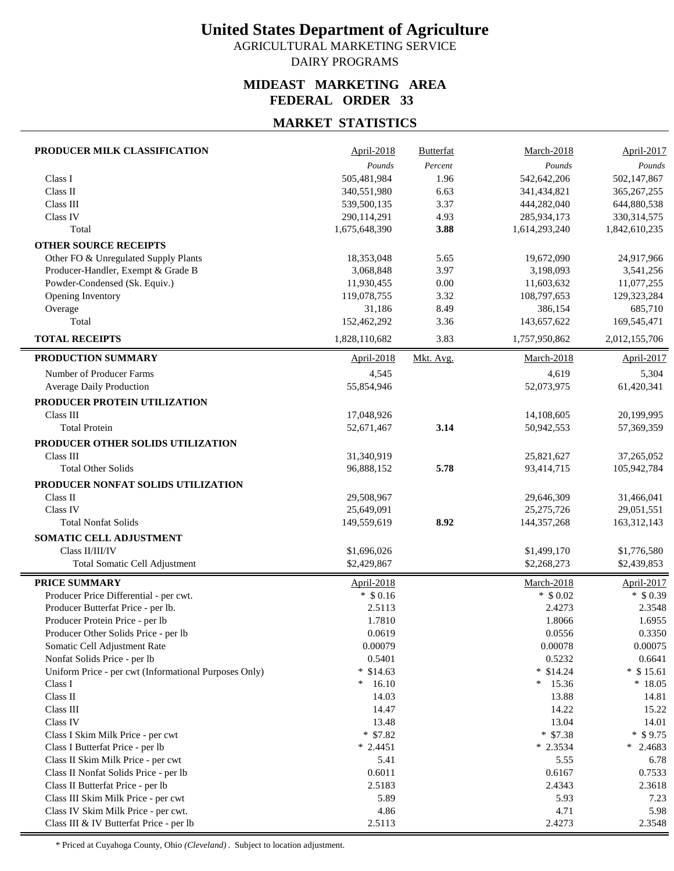AGRICULTURAL MARKETING SERVICE DAIRY PROGRAMS

## **MIDEAST MARKETING AREA FEDERAL ORDER 33**

### **MARKET STATISTICS**

| PRODUCER MILK CLASSIFICATION                          | April-2018    | <b>Butterfat</b> | March-2018    | April-2017        |
|-------------------------------------------------------|---------------|------------------|---------------|-------------------|
|                                                       | Pounds        | Percent          | Pounds        | Pounds            |
| Class I                                               | 505,481,984   | 1.96             | 542,642,206   | 502,147,867       |
| Class II                                              | 340,551,980   | 6.63             | 341,434,821   | 365, 267, 255     |
| Class III                                             | 539,500,135   | 3.37             | 444,282,040   | 644,880,538       |
| Class IV                                              | 290,114,291   | 4.93             | 285,934,173   | 330, 314, 575     |
| Total                                                 | 1,675,648,390 | 3.88             | 1,614,293,240 | 1,842,610,235     |
| <b>OTHER SOURCE RECEIPTS</b>                          |               |                  |               |                   |
| Other FO & Unregulated Supply Plants                  | 18,353,048    | 5.65             | 19,672,090    | 24,917,966        |
| Producer-Handler, Exempt & Grade B                    | 3,068,848     | 3.97             | 3,198,093     | 3,541,256         |
| Powder-Condensed (Sk. Equiv.)                         | 11,930,455    | 0.00             | 11,603,632    | 11,077,255        |
| Opening Inventory                                     | 119,078,755   | 3.32             | 108,797,653   | 129,323,284       |
| Overage                                               | 31,186        | 8.49             | 386,154       | 685,710           |
| Total                                                 | 152,462,292   | 3.36             | 143,657,622   | 169,545,471       |
| <b>TOTAL RECEIPTS</b>                                 | 1,828,110,682 | 3.83             | 1,757,950,862 | 2,012,155,706     |
| PRODUCTION SUMMARY                                    | April-2018    | Mkt. Avg.        | March-2018    | <b>April-2017</b> |
| Number of Producer Farms                              | 4,545         |                  | 4,619         | 5,304             |
| <b>Average Daily Production</b>                       | 55,854,946    |                  | 52,073,975    | 61,420,341        |
| PRODUCER PROTEIN UTILIZATION                          |               |                  |               |                   |
| Class III                                             | 17,048,926    |                  | 14,108,605    | 20,199,995        |
| <b>Total Protein</b>                                  | 52,671,467    | 3.14             | 50,942,553    | 57,369,359        |
| PRODUCER OTHER SOLIDS UTILIZATION                     |               |                  |               |                   |
| Class III                                             | 31,340,919    |                  | 25,821,627    | 37,265,052        |
| <b>Total Other Solids</b>                             | 96,888,152    | 5.78             | 93,414,715    | 105,942,784       |
| PRODUCER NONFAT SOLIDS UTILIZATION                    |               |                  |               |                   |
| Class II                                              | 29,508,967    |                  | 29,646,309    | 31,466,041        |
| Class IV                                              | 25,649,091    |                  | 25, 275, 726  | 29,051,551        |
| <b>Total Nonfat Solids</b>                            | 149,559,619   | 8.92             | 144, 357, 268 | 163,312,143       |
| SOMATIC CELL ADJUSTMENT                               |               |                  |               |                   |
| Class II/III/IV                                       | \$1,696,026   |                  | \$1,499,170   | \$1,776,580       |
| Total Somatic Cell Adjustment                         | \$2,429,867   |                  | \$2,268,273   | \$2,439,853       |
| <b>PRICE SUMMARY</b>                                  | April-2018    |                  | March-2018    | <b>April-2017</b> |
| Producer Price Differential - per cwt.                | $*$ \$ 0.16   |                  | $*$ \$ 0.02   | $*$ \$ 0.39       |
| Producer Butterfat Price - per lb.                    | 2.5113        |                  | 2.4273        | 2.3548            |
| Producer Protein Price - per lb                       | 1.7810        |                  | 1.8066        | 1.6955            |
| Producer Other Solids Price - per lb                  | 0.0619        |                  | 0.0556        | 0.3350            |
| Somatic Cell Adjustment Rate                          | 0.00079       |                  | 0.00078       | 0.00075           |
| Nonfat Solids Price - per lb                          | 0.5401        |                  | 0.5232        | 0.6641            |
| Uniform Price - per cwt (Informational Purposes Only) | $*$ \$14.63   |                  | $*$ \$14.24   | $*$ \$15.61       |
| Class I                                               | 16.10<br>∗    |                  | 15.36<br>∗    | $*18.05$          |
| Class II                                              | 14.03         |                  | 13.88         | 14.81             |
| Class III                                             | 14.47         |                  | 14.22         | 15.22             |
| Class IV                                              | 13.48         |                  | 13.04         | 14.01             |
| Class I Skim Milk Price - per cwt                     | $*$ \$7.82    |                  | $*$ \$7.38    | $*$ \$9.75        |
| Class I Butterfat Price - per lb                      | $* 2.4451$    |                  | $*2.3534$     | $*$ 2.4683        |
| Class II Skim Milk Price - per cwt                    | 5.41          |                  | 5.55          | 6.78              |
| Class II Nonfat Solids Price - per lb                 | 0.6011        |                  | 0.6167        | 0.7533            |
| Class II Butterfat Price - per lb                     | 2.5183        |                  | 2.4343        | 2.3618            |
| Class III Skim Milk Price - per cwt                   | 5.89          |                  | 5.93          | 7.23              |
| Class IV Skim Milk Price - per cwt.                   | 4.86          |                  | 4.71          | 5.98              |
| Class III & IV Butterfat Price - per lb               | 2.5113        |                  | 2.4273        | 2.3548            |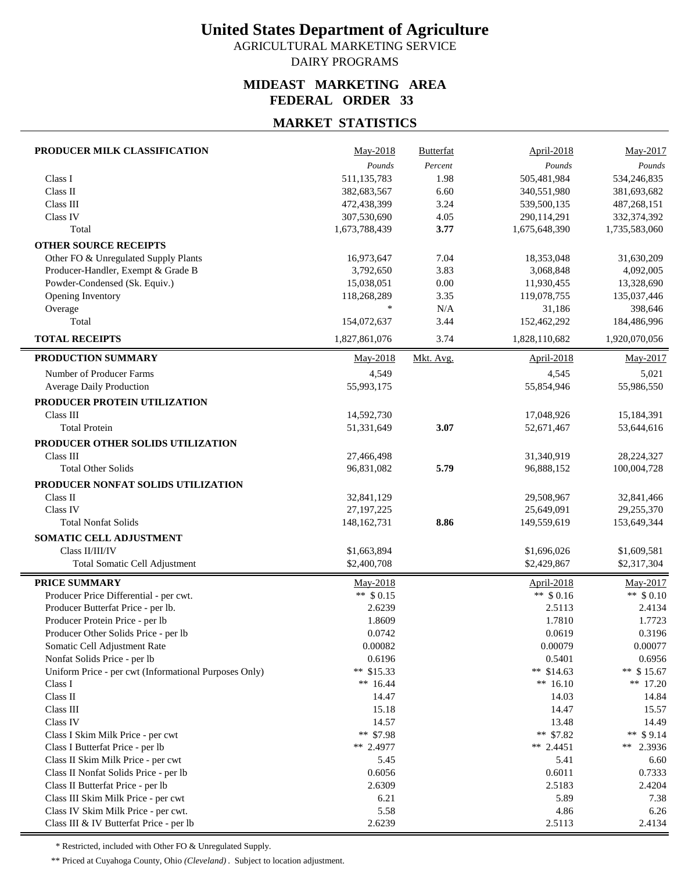AGRICULTURAL MARKETING SERVICE

### DAIRY PROGRAMS

### **MIDEAST MARKETING AREA FEDERAL ORDER 33**

## **MARKET STATISTICS**

| PRODUCER MILK CLASSIFICATION                                             | May-2018                 | Butterfat | April-2018                 | May-2017                   |
|--------------------------------------------------------------------------|--------------------------|-----------|----------------------------|----------------------------|
|                                                                          | Pounds                   | Percent   | Pounds                     | Pounds                     |
| Class I                                                                  | 511,135,783              | 1.98      | 505,481,984                | 534,246,835                |
| Class II                                                                 | 382,683,567              | 6.60      | 340,551,980                | 381,693,682                |
| Class III                                                                | 472,438,399              | 3.24      | 539,500,135                | 487,268,151                |
| Class IV                                                                 | 307,530,690              | 4.05      | 290,114,291                | 332,374,392                |
| Total                                                                    | 1,673,788,439            | 3.77      | 1,675,648,390              | 1,735,583,060              |
| <b>OTHER SOURCE RECEIPTS</b>                                             |                          |           |                            |                            |
| Other FO & Unregulated Supply Plants                                     | 16,973,647               | 7.04      | 18,353,048                 | 31,630,209                 |
| Producer-Handler, Exempt & Grade B                                       | 3,792,650                | 3.83      | 3,068,848                  | 4,092,005                  |
| Powder-Condensed (Sk. Equiv.)                                            | 15,038,051               | $0.00\,$  | 11,930,455                 | 13,328,690                 |
| Opening Inventory                                                        | 118,268,289              | 3.35      | 119,078,755                | 135,037,446                |
| Overage                                                                  | $\ast$                   | N/A       | 31,186                     | 398,646                    |
| Total                                                                    | 154,072,637              | 3.44      | 152,462,292                | 184,486,996                |
| <b>TOTAL RECEIPTS</b>                                                    | 1,827,861,076            | 3.74      | 1,828,110,682              | 1,920,070,056              |
| PRODUCTION SUMMARY                                                       | May-2018                 | Mkt. Avg. | April-2018                 | May-2017                   |
| Number of Producer Farms                                                 | 4,549                    |           | 4,545                      | 5,021                      |
| <b>Average Daily Production</b>                                          | 55,993,175               |           | 55,854,946                 | 55,986,550                 |
| PRODUCER PROTEIN UTILIZATION                                             |                          |           |                            |                            |
| Class III                                                                | 14,592,730               |           | 17,048,926                 | 15,184,391                 |
| <b>Total Protein</b>                                                     | 51,331,649               | 3.07      | 52,671,467                 | 53,644,616                 |
| PRODUCER OTHER SOLIDS UTILIZATION                                        |                          |           |                            |                            |
| Class III                                                                | 27,466,498               |           | 31,340,919                 | 28,224,327                 |
| <b>Total Other Solids</b>                                                | 96,831,082               | 5.79      | 96,888,152                 | 100,004,728                |
|                                                                          |                          |           |                            |                            |
| PRODUCER NONFAT SOLIDS UTILIZATION<br>Class II                           |                          |           |                            |                            |
| Class IV                                                                 | 32,841,129<br>27,197,225 |           | 29,508,967<br>25,649,091   | 32,841,466<br>29,255,370   |
| <b>Total Nonfat Solids</b>                                               | 148, 162, 731            | 8.86      | 149,559,619                | 153,649,344                |
|                                                                          |                          |           |                            |                            |
| SOMATIC CELL ADJUSTMENT                                                  |                          |           |                            |                            |
| Class II/III/IV                                                          | \$1,663,894              |           | \$1,696,026<br>\$2,429,867 | \$1,609,581<br>\$2,317,304 |
| Total Somatic Cell Adjustment                                            | \$2,400,708              |           |                            |                            |
| <b>PRICE SUMMARY</b>                                                     | May-2018                 |           | April-2018                 | May-2017                   |
| Producer Price Differential - per cwt.                                   | ** $$0.15$               |           | $**$ \$ 0.16               | ** $$0.10$                 |
| Producer Butterfat Price - per lb.                                       | 2.6239                   |           | 2.5113                     | 2.4134                     |
| Producer Protein Price - per lb                                          | 1.8609                   |           | 1.7810                     | 1.7723                     |
| Producer Other Solids Price - per lb                                     | 0.0742                   |           | 0.0619                     | 0.3196                     |
| Somatic Cell Adjustment Rate                                             | 0.00082                  |           | 0.00079                    | 0.00077                    |
| Nonfat Solids Price - per lb                                             | 0.6196                   |           | 0.5401                     | 0.6956                     |
| Uniform Price - per cwt (Informational Purposes Only)                    | ** \$15.33               |           | ** $$14.63$                | ** $$15.67$                |
| Class I                                                                  | ** $16.44$               |           | ** $16.10$                 | ** 17.20                   |
| Class II                                                                 | 14.47                    |           | 14.03                      | 14.84                      |
| Class III                                                                | 15.18                    |           | 14.47                      | 15.57                      |
| Class IV                                                                 | 14.57                    |           | 13.48                      | 14.49                      |
| Class I Skim Milk Price - per cwt                                        | ** \$7.98<br>** 2.4977   |           | ** \$7.82                  | ** $$9.14$                 |
| Class I Butterfat Price - per lb<br>Class II Skim Milk Price - per cwt   | 5.45                     |           | ** $2.4451$<br>5.41        | ** 2.3936                  |
| Class II Nonfat Solids Price - per lb                                    | 0.6056                   |           | 0.6011                     | 6.60<br>0.7333             |
|                                                                          | 2.6309                   |           | 2.5183                     | 2.4204                     |
| Class II Butterfat Price - per lb<br>Class III Skim Milk Price - per cwt | 6.21                     |           | 5.89                       | 7.38                       |
| Class IV Skim Milk Price - per cwt.                                      | 5.58                     |           | 4.86                       | 6.26                       |
| Class III & IV Butterfat Price - per lb                                  | 2.6239                   |           | 2.5113                     | 2.4134                     |
|                                                                          |                          |           |                            |                            |

\* Restricted, included with Other FO & Unregulated Supply.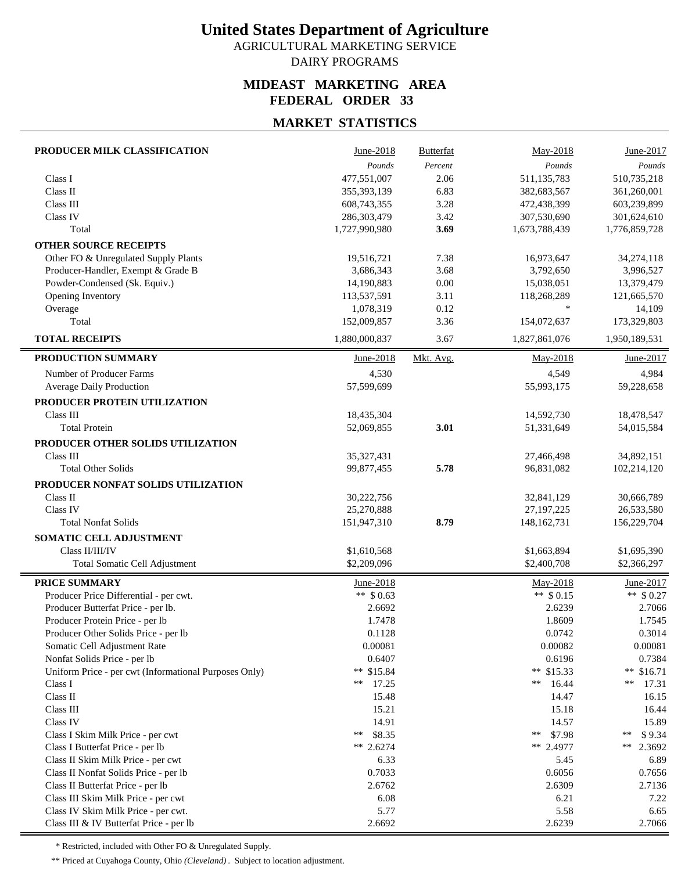AGRICULTURAL MARKETING SERVICE DAIRY PROGRAMS

## **MIDEAST MARKETING AREA FEDERAL ORDER 33**

### **MARKET STATISTICS**

| PRODUCER MILK CLASSIFICATION                          | June-2018                | <b>Butterfat</b> | May-2018                   | June-2017                |
|-------------------------------------------------------|--------------------------|------------------|----------------------------|--------------------------|
|                                                       | Pounds                   | Percent          | Pounds                     | Pounds                   |
| Class I                                               | 477,551,007              | 2.06             | 511,135,783                | 510,735,218              |
| Class II                                              | 355,393,139              | 6.83             | 382,683,567                | 361,260,001              |
| Class III                                             | 608,743,355              | 3.28             | 472,438,399                | 603,239,899              |
| Class IV                                              | 286,303,479              | 3.42             | 307,530,690                | 301,624,610              |
| Total                                                 | 1,727,990,980            | 3.69             | 1,673,788,439              | 1,776,859,728            |
| <b>OTHER SOURCE RECEIPTS</b>                          |                          |                  |                            |                          |
| Other FO & Unregulated Supply Plants                  | 19,516,721               | 7.38             | 16,973,647                 | 34,274,118               |
| Producer-Handler, Exempt & Grade B                    | 3,686,343                | 3.68             | 3,792,650                  | 3,996,527                |
| Powder-Condensed (Sk. Equiv.)                         | 14,190,883               | 0.00             | 15,038,051                 | 13,379,479               |
| Opening Inventory                                     | 113,537,591              | 3.11             | 118,268,289                | 121,665,570              |
| Overage                                               | 1,078,319                | 0.12             | $\ast$                     | 14,109                   |
| Total                                                 | 152,009,857              | 3.36             | 154,072,637                | 173,329,803              |
| <b>TOTAL RECEIPTS</b>                                 | 1,880,000,837            | 3.67             | 1,827,861,076              | 1,950,189,531            |
| PRODUCTION SUMMARY                                    | June-2018                | Mkt. Avg.        | May-2018                   | June-2017                |
| Number of Producer Farms                              | 4,530                    |                  | 4,549                      | 4,984                    |
| <b>Average Daily Production</b>                       | 57,599,699               |                  | 55,993,175                 | 59,228,658               |
| PRODUCER PROTEIN UTILIZATION                          |                          |                  |                            |                          |
| Class III                                             | 18,435,304               |                  | 14,592,730                 | 18,478,547               |
| <b>Total Protein</b>                                  | 52,069,855               | 3.01             | 51,331,649                 | 54,015,584               |
| PRODUCER OTHER SOLIDS UTILIZATION                     |                          |                  |                            |                          |
| Class III                                             | 35,327,431               |                  | 27,466,498                 | 34,892,151               |
| <b>Total Other Solids</b>                             | 99,877,455               | 5.78             | 96,831,082                 | 102,214,120              |
|                                                       |                          |                  |                            |                          |
| PRODUCER NONFAT SOLIDS UTILIZATION<br>Class II        |                          |                  |                            |                          |
| Class IV                                              | 30,222,756<br>25,270,888 |                  | 32,841,129<br>27, 197, 225 | 30,666,789<br>26,533,580 |
| <b>Total Nonfat Solids</b>                            | 151,947,310              | 8.79             | 148, 162, 731              | 156,229,704              |
|                                                       |                          |                  |                            |                          |
| SOMATIC CELL ADJUSTMENT                               |                          |                  |                            |                          |
| Class II/III/IV                                       | \$1,610,568              |                  | \$1,663,894                | \$1,695,390              |
| Total Somatic Cell Adjustment                         | \$2,209,096              |                  | \$2,400,708                | \$2,366,297              |
| <b>PRICE SUMMARY</b>                                  | June-2018                |                  | May-2018                   | June-2017                |
| Producer Price Differential - per cwt.                | ** $$0.63$               |                  | ** $$0.15$                 | ** $$0.27$               |
| Producer Butterfat Price - per lb.                    | 2.6692                   |                  | 2.6239                     | 2.7066                   |
| Producer Protein Price - per lb                       | 1.7478                   |                  | 1.8609                     | 1.7545                   |
| Producer Other Solids Price - per lb                  | 0.1128                   |                  | 0.0742                     | 0.3014                   |
| Somatic Cell Adjustment Rate                          | 0.00081                  |                  | 0.00082                    | 0.00081                  |
| Nonfat Solids Price - per lb                          | 0.6407                   |                  | 0.6196                     | 0.7384                   |
| Uniform Price - per cwt (Informational Purposes Only) | ** \$15.84               |                  | ** $$15.33$                | ** $$16.71$              |
| Class I                                               | 17.25<br>**              |                  | 16.44<br>**                | **<br>17.31              |
| Class II                                              | 15.48                    |                  | 14.47                      | 16.15                    |
| Class III                                             | 15.21                    |                  | 15.18                      | 16.44                    |
| Class IV                                              | 14.91                    |                  | 14.57                      | 15.89                    |
| Class I Skim Milk Price - per cwt                     | \$8.35<br>**             |                  | \$7.98<br>$***$            | \$9.34<br>$***$          |
| Class I Butterfat Price - per lb                      | ** $2.6274$              |                  | ** 2.4977                  | **<br>2.3692             |
| Class II Skim Milk Price - per cwt                    | 6.33                     |                  | 5.45                       | 6.89                     |
| Class II Nonfat Solids Price - per lb                 | 0.7033                   |                  | 0.6056                     | 0.7656                   |
| Class II Butterfat Price - per lb                     | 2.6762                   |                  | 2.6309                     | 2.7136                   |
| Class III Skim Milk Price - per cwt                   | 6.08                     |                  | 6.21                       | 7.22                     |
| Class IV Skim Milk Price - per cwt.                   | 5.77                     |                  | 5.58                       | 6.65                     |
| Class III & IV Butterfat Price - per lb               | 2.6692                   |                  | 2.6239                     | 2.7066                   |

\* Restricted, included with Other FO & Unregulated Supply.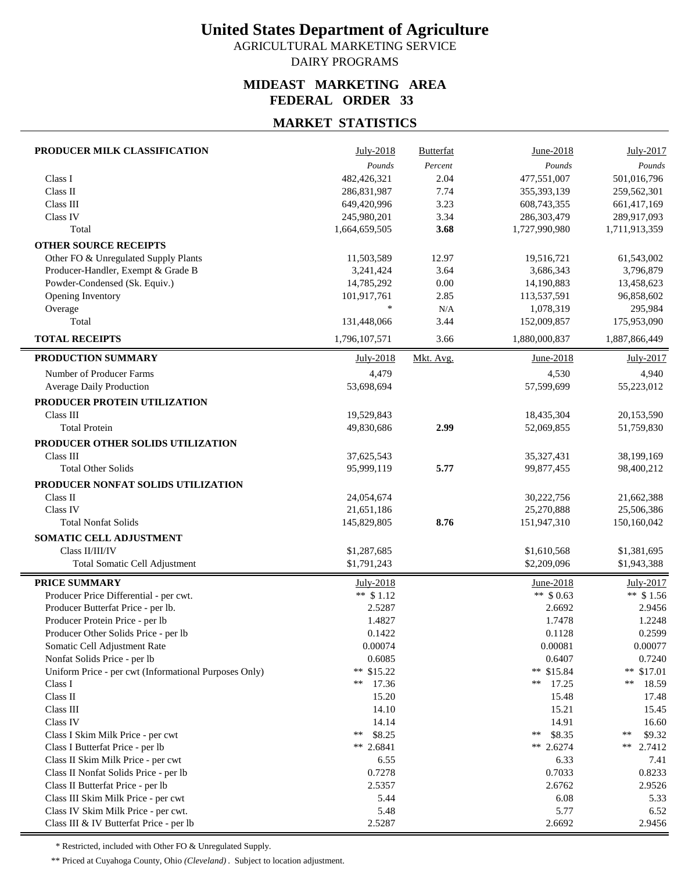AGRICULTURAL MARKETING SERVICE DAIRY PROGRAMS

## **MIDEAST MARKETING AREA FEDERAL ORDER 33**

### **MARKET STATISTICS**

| PRODUCER MILK CLASSIFICATION                                                | July-2018      | <b>Butterfat</b> | June-2018       | July-2017              |
|-----------------------------------------------------------------------------|----------------|------------------|-----------------|------------------------|
|                                                                             | Pounds         | Percent          | Pounds          | Pounds                 |
| Class I                                                                     | 482,426,321    | 2.04             | 477,551,007     | 501,016,796            |
| Class II                                                                    | 286,831,987    | 7.74             | 355,393,139     | 259,562,301            |
| Class III                                                                   | 649,420,996    | 3.23             | 608,743,355     | 661,417,169            |
| Class IV                                                                    | 245,980,201    | 3.34             | 286,303,479     | 289,917,093            |
| Total                                                                       | 1,664,659,505  | 3.68             | 1,727,990,980   | 1,711,913,359          |
| <b>OTHER SOURCE RECEIPTS</b>                                                |                |                  |                 |                        |
| Other FO & Unregulated Supply Plants                                        | 11,503,589     | 12.97            | 19,516,721      | 61,543,002             |
| Producer-Handler, Exempt & Grade B                                          | 3,241,424      | 3.64             | 3,686,343       | 3,796,879              |
| Powder-Condensed (Sk. Equiv.)                                               | 14,785,292     | 0.00             | 14,190,883      | 13,458,623             |
| Opening Inventory                                                           | 101,917,761    | 2.85             | 113,537,591     | 96,858,602             |
| Overage                                                                     | $\ast$         | N/A              | 1,078,319       | 295,984                |
| Total                                                                       | 131,448,066    | 3.44             | 152,009,857     | 175,953,090            |
| <b>TOTAL RECEIPTS</b>                                                       | 1,796,107,571  | 3.66             | 1,880,000,837   | 1,887,866,449          |
| PRODUCTION SUMMARY                                                          | July-2018      | Mkt. Avg.        | June-2018       | July-2017              |
| Number of Producer Farms                                                    | 4,479          |                  | 4,530           | 4,940                  |
| Average Daily Production                                                    | 53,698,694     |                  | 57,599,699      | 55,223,012             |
| PRODUCER PROTEIN UTILIZATION                                                |                |                  |                 |                        |
| Class III                                                                   | 19,529,843     |                  | 18,435,304      | 20,153,590             |
| <b>Total Protein</b>                                                        | 49,830,686     | 2.99             | 52,069,855      | 51,759,830             |
| PRODUCER OTHER SOLIDS UTILIZATION                                           |                |                  |                 |                        |
| Class III                                                                   | 37,625,543     |                  | 35, 327, 431    | 38,199,169             |
| <b>Total Other Solids</b>                                                   | 95,999,119     | 5.77             | 99,877,455      | 98,400,212             |
| PRODUCER NONFAT SOLIDS UTILIZATION                                          |                |                  |                 |                        |
| Class II                                                                    | 24,054,674     |                  | 30,222,756      | 21,662,388             |
| <b>Class IV</b>                                                             | 21,651,186     |                  | 25,270,888      | 25,506,386             |
| <b>Total Nonfat Solids</b>                                                  | 145,829,805    | 8.76             | 151,947,310     | 150,160,042            |
|                                                                             |                |                  |                 |                        |
| SOMATIC CELL ADJUSTMENT<br>Class II/III/IV                                  | \$1,287,685    |                  | \$1,610,568     | \$1,381,695            |
| Total Somatic Cell Adjustment                                               | \$1,791,243    |                  | \$2,209,096     | \$1,943,388            |
|                                                                             |                |                  |                 |                        |
| <b>PRICE SUMMARY</b>                                                        | July-2018      |                  | June-2018       | July-2017              |
| Producer Price Differential - per cwt.                                      | ** $$1.12$     |                  | ** \$0.63       | ** $$1.56$             |
| Producer Butterfat Price - per lb.                                          | 2.5287         |                  | 2.6692          | 2.9456                 |
| Producer Protein Price - per lb                                             | 1.4827         |                  | 1.7478          | 1.2248                 |
| Producer Other Solids Price - per lb                                        | 0.1422         |                  | 0.1128          | 0.2599                 |
| Somatic Cell Adjustment Rate                                                | 0.00074        |                  | 0.00081         | 0.00077                |
| Nonfat Solids Price - per lb                                                | 0.6085         |                  | 0.6407          | 0.7240                 |
| Uniform Price - per cwt (Informational Purposes Only)                       | ** $$15.22$    |                  | ** \$15.84      | ** $$17.01$            |
| Class I                                                                     | 17.36<br>**    |                  | 17.25<br>**     | **<br>18.59            |
| Class II                                                                    | 15.20          |                  | 15.48           | 17.48                  |
| Class III<br>Class IV                                                       | 14.10<br>14.14 |                  | 15.21<br>14.91  | 15.45                  |
|                                                                             | \$8.25<br>**   |                  | \$8.35<br>$***$ | 16.60<br>$***$         |
| Class I Skim Milk Price - per cwt                                           | ** 2.6841      |                  | ** 2.6274       | \$9.32<br>**<br>2.7412 |
| Class I Butterfat Price - per lb                                            | 6.55           |                  | 6.33            | 7.41                   |
| Class II Skim Milk Price - per cwt<br>Class II Nonfat Solids Price - per lb | 0.7278         |                  | 0.7033          | 0.8233                 |
| Class II Butterfat Price - per lb                                           | 2.5357         |                  | 2.6762          | 2.9526                 |
| Class III Skim Milk Price - per cwt                                         | 5.44           |                  | 6.08            | 5.33                   |
| Class IV Skim Milk Price - per cwt.                                         | 5.48           |                  | 5.77            | 6.52                   |
| Class III & IV Butterfat Price - per lb                                     | 2.5287         |                  | 2.6692          | 2.9456                 |
|                                                                             |                |                  |                 |                        |

\* Restricted, included with Other FO & Unregulated Supply.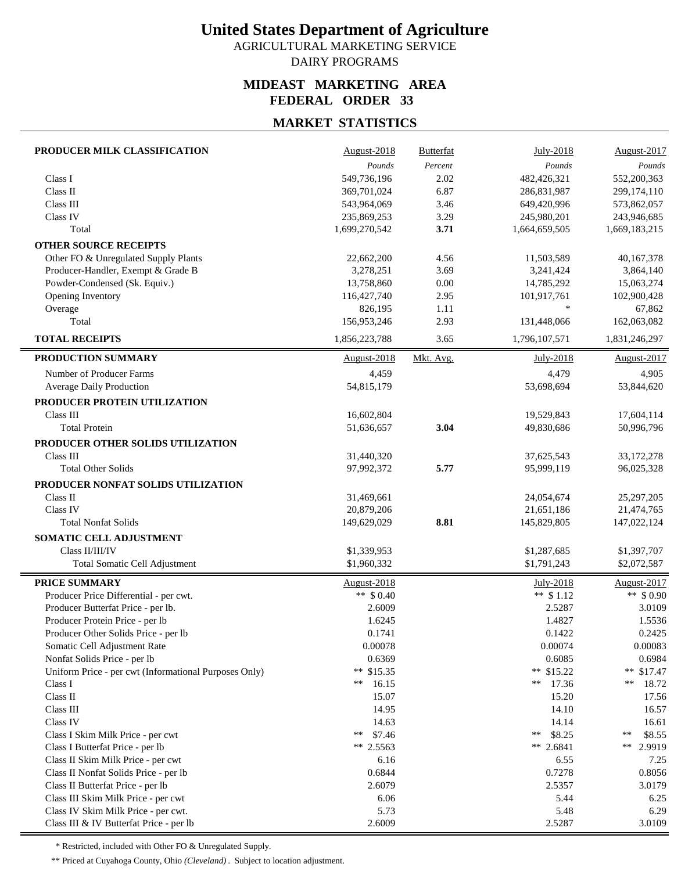AGRICULTURAL MARKETING SERVICE

### DAIRY PROGRAMS

### **MIDEAST MARKETING AREA FEDERAL ORDER 33**

## **MARKET STATISTICS**

| PRODUCER MILK CLASSIFICATION                          | August-2018        | Butterfat | July-2018       | August-2017     |
|-------------------------------------------------------|--------------------|-----------|-----------------|-----------------|
|                                                       | Pounds             | Percent   | Pounds          | Pounds          |
| Class I                                               | 549,736,196        | 2.02      | 482,426,321     | 552,200,363     |
| Class II                                              | 369,701,024        | 6.87      | 286,831,987     | 299,174,110     |
| Class III                                             | 543,964,069        | 3.46      | 649,420,996     | 573,862,057     |
| Class IV                                              | 235,869,253        | 3.29      | 245,980,201     | 243,946,685     |
| Total                                                 | 1,699,270,542      | 3.71      | 1,664,659,505   | 1,669,183,215   |
| <b>OTHER SOURCE RECEIPTS</b>                          |                    |           |                 |                 |
| Other FO & Unregulated Supply Plants                  | 22,662,200         | 4.56      | 11,503,589      | 40,167,378      |
| Producer-Handler, Exempt & Grade B                    | 3,278,251          | 3.69      | 3,241,424       | 3,864,140       |
| Powder-Condensed (Sk. Equiv.)                         | 13,758,860         | $0.00\,$  | 14,785,292      | 15,063,274      |
| Opening Inventory                                     | 116,427,740        | 2.95      | 101,917,761     | 102,900,428     |
| Overage                                               | 826,195            | 1.11      | $\ast$          | 67,862          |
| Total                                                 | 156,953,246        | 2.93      | 131,448,066     | 162,063,082     |
| <b>TOTAL RECEIPTS</b>                                 | 1,856,223,788      | 3.65      | 1,796,107,571   | 1,831,246,297   |
| PRODUCTION SUMMARY                                    | <b>August-2018</b> | Mkt. Avg. | July-2018       | August-2017     |
| Number of Producer Farms                              | 4,459              |           | 4,479           | 4,905           |
| Average Daily Production                              | 54,815,179         |           | 53,698,694      | 53,844,620      |
| PRODUCER PROTEIN UTILIZATION                          |                    |           |                 |                 |
| Class III                                             | 16,602,804         |           | 19,529,843      | 17,604,114      |
| <b>Total Protein</b>                                  | 51,636,657         | 3.04      | 49,830,686      | 50,996,796      |
| PRODUCER OTHER SOLIDS UTILIZATION                     |                    |           |                 |                 |
| Class III                                             | 31,440,320         |           | 37,625,543      | 33,172,278      |
| <b>Total Other Solids</b>                             | 97,992,372         | 5.77      | 95,999,119      | 96,025,328      |
| PRODUCER NONFAT SOLIDS UTILIZATION                    |                    |           |                 |                 |
| Class II                                              | 31,469,661         |           | 24,054,674      | 25,297,205      |
| Class IV                                              | 20,879,206         |           | 21,651,186      | 21,474,765      |
| <b>Total Nonfat Solids</b>                            | 149,629,029        | 8.81      | 145,829,805     | 147,022,124     |
| SOMATIC CELL ADJUSTMENT                               |                    |           |                 |                 |
| Class II/III/IV                                       | \$1,339,953        |           | \$1,287,685     | \$1,397,707     |
| Total Somatic Cell Adjustment                         | \$1,960,332        |           | \$1,791,243     | \$2,072,587     |
| <b>PRICE SUMMARY</b>                                  | August-2018        |           | July-2018       | August-2017     |
| Producer Price Differential - per cwt.                | ** $$0.40$         |           | ** $$1.12$      | ** $$0.90$      |
| Producer Butterfat Price - per lb.                    | 2.6009             |           | 2.5287          | 3.0109          |
| Producer Protein Price - per lb                       | 1.6245             |           | 1.4827          | 1.5536          |
| Producer Other Solids Price - per lb                  | 0.1741             |           | 0.1422          | 0.2425          |
| Somatic Cell Adjustment Rate                          | 0.00078            |           | 0.00074         | 0.00083         |
| Nonfat Solids Price - per lb                          | 0.6369             |           | 0.6085          | 0.6984          |
| Uniform Price - per cwt (Informational Purposes Only) | ** $$15.35$        |           | ** \$15.22      | ** $$17.47$     |
| Class I                                               | 16.15<br>**        |           | 17.36<br>**     | **<br>18.72     |
| Class II                                              | 15.07              |           | 15.20           | 17.56           |
| Class III                                             | 14.95              |           | 14.10           | 16.57           |
| Class IV                                              | 14.63              |           | 14.14           | 16.61           |
| Class I Skim Milk Price - per cwt                     | \$7.46<br>**       |           | \$8.25<br>$***$ | $***$<br>\$8.55 |
| Class I Butterfat Price - per lb                      | ** 2.5563          |           | ** 2.6841       | **<br>2.9919    |
| Class II Skim Milk Price - per cwt                    | 6.16               |           | 6.55            | 7.25            |
| Class II Nonfat Solids Price - per lb                 | 0.6844             |           | 0.7278          | 0.8056          |
| Class II Butterfat Price - per lb                     | 2.6079             |           | 2.5357          | 3.0179          |
| Class III Skim Milk Price - per cwt                   | 6.06               |           | 5.44            | 6.25            |
| Class IV Skim Milk Price - per cwt.                   | 5.73               |           | 5.48            | 6.29            |
| Class III & IV Butterfat Price - per lb               | 2.6009             |           | 2.5287          | 3.0109          |

\* Restricted, included with Other FO & Unregulated Supply.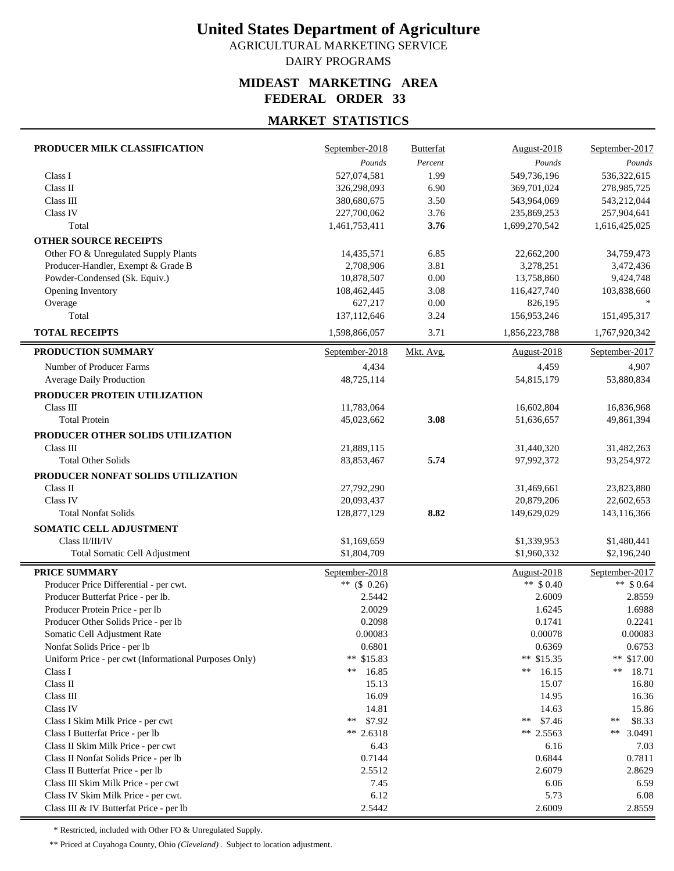AGRICULTURAL MARKETING SERVICE DAIRY PROGRAMS

#### **MIDEAST MARKETING AREA FEDERAL ORDER 33**

### **MARKET STATISTICS**

| PRODUCER MILK CLASSIFICATION                          | September-2018  | <b>Butterfat</b> | August-2018   | September-2017    |
|-------------------------------------------------------|-----------------|------------------|---------------|-------------------|
|                                                       | Pounds          | Percent          | Pounds        | $\mathit{Pounds}$ |
| Class I                                               | 527,074,581     | 1.99             | 549,736,196   | 536,322,615       |
| Class II                                              | 326,298,093     | 6.90             | 369,701,024   | 278,985,725       |
| Class III                                             | 380,680,675     | 3.50             | 543,964,069   | 543,212,044       |
| Class IV                                              | 227,700,062     | 3.76             | 235,869,253   | 257,904,641       |
| Total                                                 | 1,461,753,411   | 3.76             | 1,699,270,542 | 1,616,425,025     |
| <b>OTHER SOURCE RECEIPTS</b>                          |                 |                  |               |                   |
| Other FO & Unregulated Supply Plants                  | 14,435,571      | 6.85             | 22,662,200    | 34,759,473        |
| Producer-Handler, Exempt & Grade B                    | 2,708,906       | 3.81             | 3,278,251     | 3,472,436         |
| Powder-Condensed (Sk. Equiv.)                         | 10,878,507      | $0.00\,$         | 13,758,860    | 9,424,748         |
| Opening Inventory                                     | 108,462,445     | 3.08             | 116,427,740   | 103,838,660       |
| Overage                                               | 627,217         | 0.00             | 826,195       |                   |
| Total                                                 | 137,112,646     | 3.24             | 156,953,246   | 151,495,317       |
| <b>TOTAL RECEIPTS</b>                                 | 1,598,866,057   | 3.71             | 1,856,223,788 | 1,767,920,342     |
| PRODUCTION SUMMARY                                    | September-2018  | Mkt. Avg.        | August-2018   | September-2017    |
| Number of Producer Farms                              | 4,434           |                  | 4,459         | 4,907             |
| Average Daily Production                              | 48,725,114      |                  | 54,815,179    | 53,880,834        |
| PRODUCER PROTEIN UTILIZATION                          |                 |                  |               |                   |
| Class III                                             | 11,783,064      |                  | 16,602,804    | 16,836,968        |
| <b>Total Protein</b>                                  | 45,023,662      | 3.08             | 51,636,657    | 49,861,394        |
|                                                       |                 |                  |               |                   |
| PRODUCER OTHER SOLIDS UTILIZATION                     |                 |                  |               |                   |
| Class III                                             | 21,889,115      |                  | 31,440,320    | 31,482,263        |
| <b>Total Other Solids</b>                             | 83, 853, 467    | 5.74             | 97,992,372    | 93,254,972        |
| PRODUCER NONFAT SOLIDS UTILIZATION                    |                 |                  |               |                   |
| Class II                                              | 27,792,290      |                  | 31,469,661    | 23,823,880        |
| Class IV                                              | 20,093,437      |                  | 20,879,206    | 22,602,653        |
| <b>Total Nonfat Solids</b>                            | 128,877,129     | 8.82             | 149,629,029   | 143,116,366       |
| <b>SOMATIC CELL ADJUSTMENT</b>                        |                 |                  |               |                   |
| Class II/III/IV                                       | \$1,169,659     |                  | \$1,339,953   | \$1,480,441       |
| Total Somatic Cell Adjustment                         | \$1,804,709     |                  | \$1,960,332   | \$2,196,240       |
| PRICE SUMMARY                                         | September-2018  |                  | August-2018   | September-2017    |
| Producer Price Differential - per cwt.                | ** $($ \$ 0.26) |                  | ** $$0.40$    | ** $$0.64$        |
| Producer Butterfat Price - per lb.                    | 2.5442          |                  | 2.6009        | 2.8559            |
| Producer Protein Price - per lb                       | 2.0029          |                  | 1.6245        | 1.6988            |
| Producer Other Solids Price - per lb                  | 0.2098          |                  | 0.1741        | 0.2241            |
| Somatic Cell Adjustment Rate                          | 0.00083         |                  | 0.00078       | 0.00083           |
| Nonfat Solids Price - per lb                          | 0.6801          |                  | 0.6369        | 0.6753            |
| Uniform Price - per cwt (Informational Purposes Only) | ** \$15.83      |                  | ** \$15.35    | ** \$17.00        |
| Class I                                               | **<br>16.85     |                  | 16.15<br>**   | **<br>18.71       |
| Class II                                              | 15.13           |                  | 15.07         | 16.80             |
| Class III                                             | 16.09           |                  | 14.95         | 16.36             |
| Class IV                                              | 14.81           |                  | 14.63         | 15.86             |
| Class I Skim Milk Price - per cwt                     | \$7.92<br>**    |                  | **<br>\$7.46  | **<br>\$8.33      |
| Class I Butterfat Price - per lb                      | ** 2.6318       |                  | ** $2.5563$   | **<br>3.0491      |
| Class II Skim Milk Price - per cwt                    | 6.43            |                  | 6.16          | 7.03              |
| Class II Nonfat Solids Price - per lb                 | 0.7144          |                  | 0.6844        | 0.7811            |
| Class II Butterfat Price - per lb                     | 2.5512          |                  | 2.6079        | 2.8629            |
| Class III Skim Milk Price - per cwt                   | 7.45            |                  | 6.06          | 6.59              |
| Class IV Skim Milk Price - per cwt.                   | 6.12            |                  | 5.73          | 6.08              |
| Class III & IV Butterfat Price - per lb               | 2.5442          |                  | 2.6009        | 2.8559            |

\* Restricted, included with Other FO & Unregulated Supply.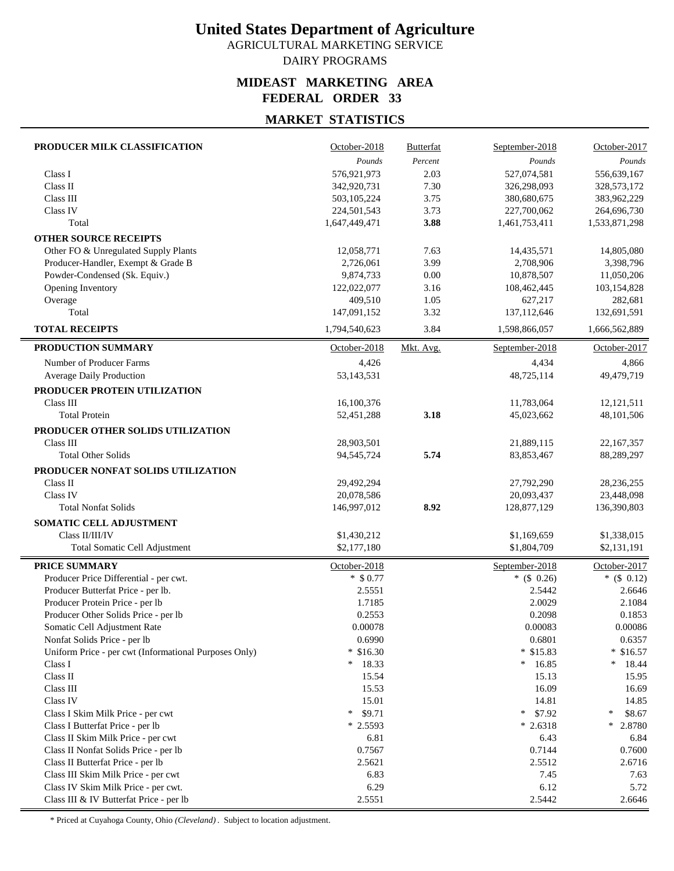AGRICULTURAL MARKETING SERVICE DAIRY PROGRAMS

### **MIDEAST MARKETING AREA FEDERAL ORDER 33**

### **MARKET STATISTICS**

| PRODUCER MILK CLASSIFICATION                          | October-2018  | <b>Butterfat</b> | September-2018 | October-2017  |
|-------------------------------------------------------|---------------|------------------|----------------|---------------|
|                                                       | Pounds        | Percent          | Pounds         | Pounds        |
| Class I                                               | 576,921,973   | 2.03             | 527,074,581    | 556,639,167   |
| Class II                                              | 342,920,731   | 7.30             | 326,298,093    | 328, 573, 172 |
| Class III                                             | 503,105,224   | 3.75             | 380,680,675    | 383,962,229   |
| Class IV                                              | 224,501,543   | 3.73             | 227,700,062    | 264,696,730   |
| Total                                                 | 1,647,449,471 | 3.88             | 1,461,753,411  | 1,533,871,298 |
| <b>OTHER SOURCE RECEIPTS</b>                          |               |                  |                |               |
| Other FO & Unregulated Supply Plants                  | 12,058,771    | 7.63             | 14,435,571     | 14,805,080    |
| Producer-Handler, Exempt & Grade B                    | 2,726,061     | 3.99             | 2,708,906      | 3,398,796     |
| Powder-Condensed (Sk. Equiv.)                         | 9,874,733     | 0.00             | 10,878,507     | 11,050,206    |
| Opening Inventory                                     | 122,022,077   | 3.16             | 108,462,445    | 103,154,828   |
| Overage                                               | 409,510       | 1.05             | 627,217        | 282,681       |
| Total                                                 | 147,091,152   | 3.32             | 137,112,646    | 132,691,591   |
| <b>TOTAL RECEIPTS</b>                                 | 1,794,540,623 | 3.84             | 1,598,866,057  | 1,666,562,889 |
| PRODUCTION SUMMARY                                    | October-2018  | Mkt. Avg.        | September-2018 | October-2017  |
| Number of Producer Farms                              | 4,426         |                  | 4,434          | 4,866         |
| Average Daily Production                              | 53,143,531    |                  | 48,725,114     | 49,479,719    |
| PRODUCER PROTEIN UTILIZATION                          |               |                  |                |               |
| Class III                                             | 16,100,376    |                  | 11,783,064     | 12,121,511    |
| <b>Total Protein</b>                                  | 52,451,288    | 3.18             | 45,023,662     | 48,101,506    |
|                                                       |               |                  |                |               |
| PRODUCER OTHER SOLIDS UTILIZATION<br>Class III        |               |                  |                |               |
|                                                       | 28,903,501    |                  | 21,889,115     | 22,167,357    |
| <b>Total Other Solids</b>                             | 94, 545, 724  | 5.74             | 83, 853, 467   | 88,289,297    |
| PRODUCER NONFAT SOLIDS UTILIZATION                    |               |                  |                |               |
| Class II                                              | 29,492,294    |                  | 27,792,290     | 28,236,255    |
| Class IV                                              | 20,078,586    |                  | 20,093,437     | 23,448,098    |
| <b>Total Nonfat Solids</b>                            | 146,997,012   | 8.92             | 128,877,129    | 136,390,803   |
| SOMATIC CELL ADJUSTMENT                               |               |                  |                |               |
| Class II/III/IV                                       | \$1,430,212   |                  | \$1,169,659    | \$1,338,015   |
| Total Somatic Cell Adjustment                         | \$2,177,180   |                  | \$1,804,709    | \$2,131,191   |
| PRICE SUMMARY                                         | October-2018  |                  | September-2018 | October-2017  |
| Producer Price Differential - per cwt.                | $*$ \$ 0.77   |                  | $*(\$ 0.26)$   | $*(\$ 0.12)$  |
| Producer Butterfat Price - per lb.                    | 2.5551        |                  | 2.5442         | 2.6646        |
| Producer Protein Price - per lb                       | 1.7185        |                  | 2.0029         | 2.1084        |
| Producer Other Solids Price - per lb                  | 0.2553        |                  | 0.2098         | 0.1853        |
| Somatic Cell Adjustment Rate                          | 0.00078       |                  | 0.00083        | 0.00086       |
| Nonfat Solids Price - per lb                          | 0.6990        |                  | 0.6801         | 0.6357        |
| Uniform Price - per cwt (Informational Purposes Only) | $*$ \$16.30   |                  | $*$ \$15.83    | $*$ \$16.57   |
| Class I                                               | 18.33<br>*    |                  | 16.85<br>*     | $*$ 18.44     |
| Class II                                              | 15.54         |                  | 15.13          | 15.95         |
| Class III                                             | 15.53         |                  | 16.09          | 16.69         |
| Class IV                                              | 15.01         |                  | 14.81          | 14.85         |
| Class I Skim Milk Price - per cwt                     | *<br>\$9.71   |                  | \$7.92<br>*    | ∗<br>\$8.67   |
| Class I Butterfat Price - per lb                      | $*2.5593$     |                  | $*2.6318$      | *<br>2.8780   |
| Class II Skim Milk Price - per cwt                    | 6.81          |                  | 6.43           | 6.84          |
| Class II Nonfat Solids Price - per lb                 | 0.7567        |                  | 0.7144         | 0.7600        |
| Class II Butterfat Price - per lb                     | 2.5621        |                  | 2.5512         | 2.6716        |
| Class III Skim Milk Price - per cwt                   | 6.83          |                  | 7.45           | 7.63          |
| Class IV Skim Milk Price - per cwt.                   | 6.29          |                  | 6.12           | 5.72          |
| Class III & IV Butterfat Price - per lb               | 2.5551        |                  | 2.5442         | 2.6646        |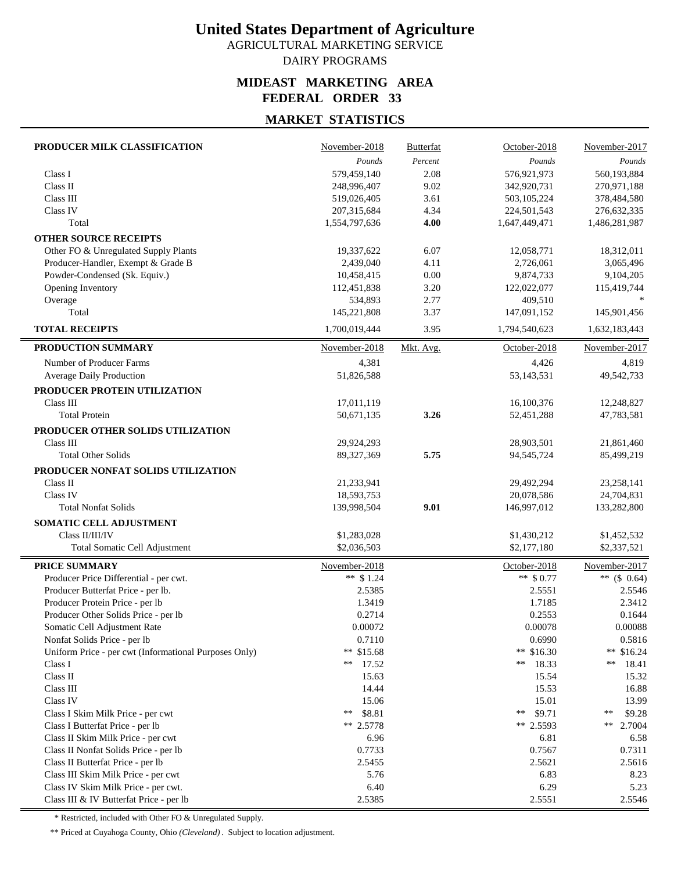AGRICULTURAL MARKETING SERVICE DAIRY PROGRAMS

### **MIDEAST MARKETING AREA FEDERAL ORDER 33**

### **MARKET STATISTICS**

| PRODUCER MILK CLASSIFICATION                          | November-2018 | <b>Butterfat</b> | October-2018  | November-2017      |
|-------------------------------------------------------|---------------|------------------|---------------|--------------------|
|                                                       | Pounds        | Percent          | Pounds        | Pounds             |
| Class I                                               | 579,459,140   | 2.08             | 576,921,973   | 560,193,884        |
| Class II                                              | 248,996,407   | 9.02             | 342,920,731   | 270,971,188        |
| Class III                                             | 519,026,405   | 3.61             | 503,105,224   | 378,484,580        |
| Class IV                                              | 207, 315, 684 | 4.34             | 224,501,543   | 276, 632, 335      |
| Total                                                 | 1,554,797,636 | 4.00             | 1,647,449,471 | 1,486,281,987      |
| <b>OTHER SOURCE RECEIPTS</b>                          |               |                  |               |                    |
| Other FO & Unregulated Supply Plants                  | 19,337,622    | 6.07             | 12,058,771    | 18,312,011         |
| Producer-Handler, Exempt & Grade B                    | 2,439,040     | 4.11             | 2,726,061     | 3,065,496          |
| Powder-Condensed (Sk. Equiv.)                         | 10,458,415    | 0.00             | 9,874,733     | 9,104,205          |
| Opening Inventory                                     | 112,451,838   | 3.20             | 122,022,077   | 115,419,744        |
| Overage                                               | 534,893       | 2.77             | 409,510       |                    |
| Total                                                 | 145,221,808   | 3.37             | 147,091,152   | 145,901,456        |
| <b>TOTAL RECEIPTS</b>                                 | 1,700,019,444 | 3.95             | 1,794,540,623 | 1,632,183,443      |
| PRODUCTION SUMMARY                                    | November-2018 | Mkt. Avg.        | October-2018  | November-2017      |
| Number of Producer Farms                              | 4,381         |                  | 4,426         | 4,819              |
| Average Daily Production                              | 51,826,588    |                  | 53,143,531    | 49,542,733         |
| PRODUCER PROTEIN UTILIZATION                          |               |                  |               |                    |
| Class III                                             | 17,011,119    |                  | 16,100,376    | 12,248,827         |
| <b>Total Protein</b>                                  | 50,671,135    | 3.26             | 52,451,288    | 47,783,581         |
| PRODUCER OTHER SOLIDS UTILIZATION                     |               |                  |               |                    |
| Class III                                             | 29,924,293    |                  | 28,903,501    | 21,861,460         |
| <b>Total Other Solids</b>                             | 89,327,369    | 5.75             | 94,545,724    | 85,499,219         |
| PRODUCER NONFAT SOLIDS UTILIZATION                    |               |                  |               |                    |
| Class II                                              | 21,233,941    |                  | 29,492,294    | 23,258,141         |
| Class IV                                              | 18,593,753    |                  | 20,078,586    | 24,704,831         |
| <b>Total Nonfat Solids</b>                            | 139,998,504   | 9.01             | 146,997,012   | 133,282,800        |
| SOMATIC CELL ADJUSTMENT                               |               |                  |               |                    |
| Class II/III/IV                                       | \$1,283,028   |                  | \$1,430,212   | \$1,452,532        |
| Total Somatic Cell Adjustment                         | \$2,036,503   |                  | \$2,177,180   | \$2,337,521        |
|                                                       |               |                  |               |                    |
| <b>PRICE SUMMARY</b>                                  | November-2018 |                  | October-2018  | November-2017      |
| Producer Price Differential - per cwt.                | ** $$1.24$    |                  | ** $$0.77$    | ** $(S \ 0.64)$    |
| Producer Butterfat Price - per lb.                    | 2.5385        |                  | 2.5551        | 2.5546             |
| Producer Protein Price - per lb                       | 1.3419        |                  | 1.7185        | 2.3412             |
| Producer Other Solids Price - per lb                  | 0.2714        |                  | 0.2553        | 0.1644             |
| Somatic Cell Adiustment Rate                          | 0.00072       |                  | 0.00078       | 0.00088            |
| Nonfat Solids Price - per lb                          | 0.7110        |                  | 0.6990        | 0.5816             |
| Uniform Price - per cwt (Informational Purposes Only) | ** \$15.68    |                  | ** \$16.30    | ** $$16.24$        |
| Class I                                               | 17.52<br>**   |                  | **<br>18.33   | **<br>18.41        |
| Class II                                              | 15.63         |                  | 15.54         | 15.32              |
| Class III                                             | 14.44         |                  | 15.53         | 16.88              |
| Class IV                                              | 15.06         |                  | 15.01         | 13.99              |
| Class I Skim Milk Price - per cwt                     | \$8.81<br>**  |                  | \$9.71<br>**  | \$9.28<br>**<br>** |
| Class I Butterfat Price - per lb                      | ** 2.5778     |                  | ** 2.5593     | 2.7004             |
| Class II Skim Milk Price - per cwt                    | 6.96          |                  | 6.81          | 6.58               |
| Class II Nonfat Solids Price - per lb                 | 0.7733        |                  | 0.7567        | 0.7311             |
| Class II Butterfat Price - per lb                     | 2.5455        |                  | 2.5621        | 2.5616             |
| Class III Skim Milk Price - per cwt                   | 5.76<br>6.40  |                  | 6.83<br>6.29  | 8.23<br>5.23       |
| Class IV Skim Milk Price - per cwt.                   | 2.5385        |                  | 2.5551        | 2.5546             |
| Class III & IV Butterfat Price - per lb               |               |                  |               |                    |

\* Restricted, included with Other FO & Unregulated Supply.